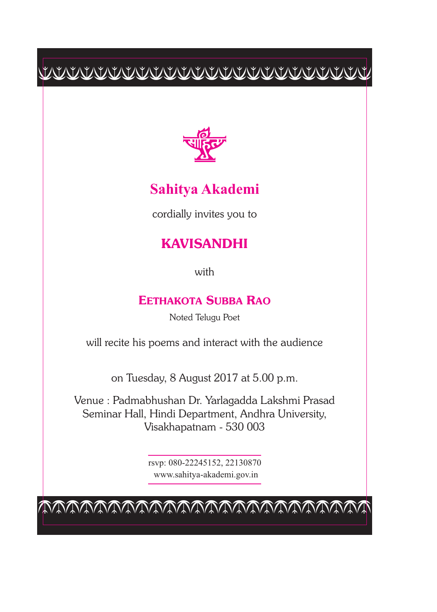$\begin{tabular}{c} \multicolumn{2}{c} {\textbf{1}} & \multicolumn{2}{c} {\textbf{2}} & \multicolumn{2}{c} {\textbf{2}} & \multicolumn{2}{c} {\textbf{2}} & \multicolumn{2}{c} {\textbf{2}} & \multicolumn{2}{c} {\textbf{2}} & \multicolumn{2}{c} {\textbf{2}} & \multicolumn{2}{c} {\textbf{2}} & \multicolumn{2}{c} {\textbf{2}} & \multicolumn{2}{c} {\textbf{2}} & \multicolumn{2}{c} {\textbf{2}} & \multicolumn{2}{c} {\textbf{2}} & \multicolumn{2}{c} {\textbf{2}} & \multicolumn$ 



## **Sahitya Akademi**

cordially invites you to

## **KAVISANDHI**

with

## **EETHAKOTA SUBBA RAO**

Noted Telugu Poet

will recite his poems and interact with the audience

on Tuesday, 8 August 2017 at 5.00 p.m.

Venue : Padmabhushan Dr. Yarlagadda Lakshmi Prasad Seminar Hall, Hindi Department, Andhra University, Visakhapatnam - 530 003

> rsvp: 080-22245152, 22130870 www.sahitya-akademi.gov.in

cccccccccccccccccccccccc